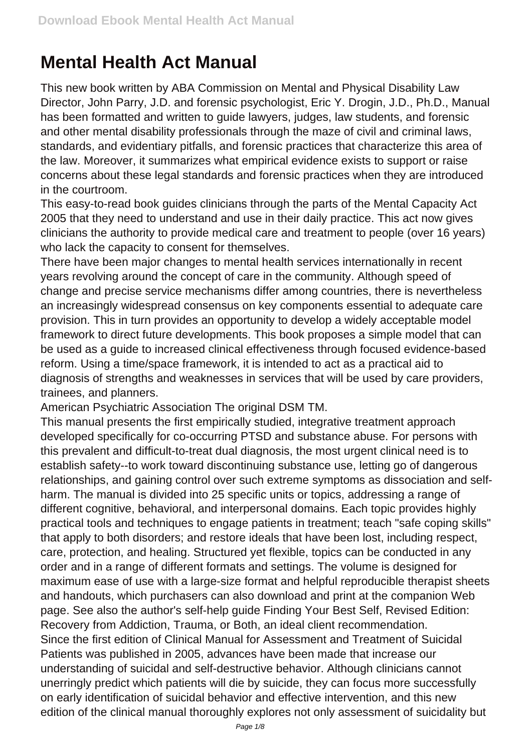## **Mental Health Act Manual**

This new book written by ABA Commission on Mental and Physical Disability Law Director, John Parry, J.D. and forensic psychologist, Eric Y. Drogin, J.D., Ph.D., Manual has been formatted and written to guide lawyers, judges, law students, and forensic and other mental disability professionals through the maze of civil and criminal laws, standards, and evidentiary pitfalls, and forensic practices that characterize this area of the law. Moreover, it summarizes what empirical evidence exists to support or raise concerns about these legal standards and forensic practices when they are introduced in the courtroom.

This easy-to-read book guides clinicians through the parts of the Mental Capacity Act 2005 that they need to understand and use in their daily practice. This act now gives clinicians the authority to provide medical care and treatment to people (over 16 years) who lack the capacity to consent for themselves.

There have been major changes to mental health services internationally in recent years revolving around the concept of care in the community. Although speed of change and precise service mechanisms differ among countries, there is nevertheless an increasingly widespread consensus on key components essential to adequate care provision. This in turn provides an opportunity to develop a widely acceptable model framework to direct future developments. This book proposes a simple model that can be used as a guide to increased clinical effectiveness through focused evidence-based reform. Using a time/space framework, it is intended to act as a practical aid to diagnosis of strengths and weaknesses in services that will be used by care providers, trainees, and planners.

American Psychiatric Association The original DSM TM.

This manual presents the first empirically studied, integrative treatment approach developed specifically for co-occurring PTSD and substance abuse. For persons with this prevalent and difficult-to-treat dual diagnosis, the most urgent clinical need is to establish safety--to work toward discontinuing substance use, letting go of dangerous relationships, and gaining control over such extreme symptoms as dissociation and selfharm. The manual is divided into 25 specific units or topics, addressing a range of different cognitive, behavioral, and interpersonal domains. Each topic provides highly practical tools and techniques to engage patients in treatment; teach "safe coping skills" that apply to both disorders; and restore ideals that have been lost, including respect, care, protection, and healing. Structured yet flexible, topics can be conducted in any order and in a range of different formats and settings. The volume is designed for maximum ease of use with a large-size format and helpful reproducible therapist sheets and handouts, which purchasers can also download and print at the companion Web page. See also the author's self-help guide Finding Your Best Self, Revised Edition: Recovery from Addiction, Trauma, or Both, an ideal client recommendation. Since the first edition of Clinical Manual for Assessment and Treatment of Suicidal Patients was published in 2005, advances have been made that increase our understanding of suicidal and self-destructive behavior. Although clinicians cannot unerringly predict which patients will die by suicide, they can focus more successfully on early identification of suicidal behavior and effective intervention, and this new edition of the clinical manual thoroughly explores not only assessment of suicidality but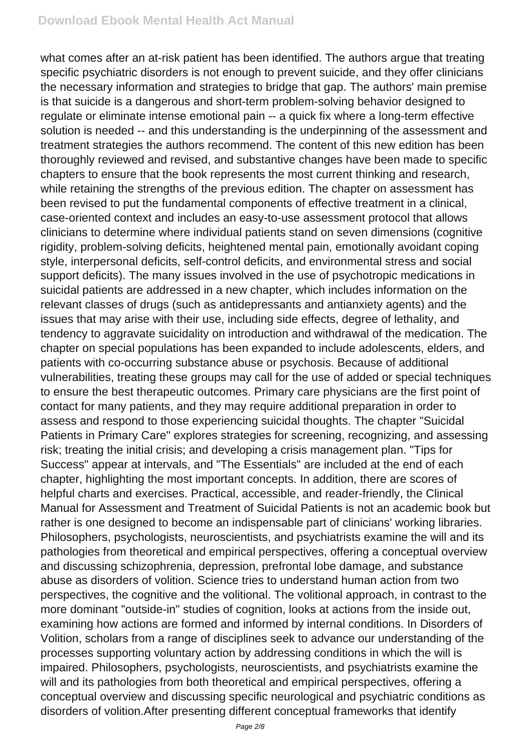what comes after an at-risk patient has been identified. The authors argue that treating specific psychiatric disorders is not enough to prevent suicide, and they offer clinicians the necessary information and strategies to bridge that gap. The authors' main premise is that suicide is a dangerous and short-term problem-solving behavior designed to regulate or eliminate intense emotional pain -- a quick fix where a long-term effective solution is needed -- and this understanding is the underpinning of the assessment and treatment strategies the authors recommend. The content of this new edition has been thoroughly reviewed and revised, and substantive changes have been made to specific chapters to ensure that the book represents the most current thinking and research, while retaining the strengths of the previous edition. The chapter on assessment has been revised to put the fundamental components of effective treatment in a clinical, case-oriented context and includes an easy-to-use assessment protocol that allows clinicians to determine where individual patients stand on seven dimensions (cognitive rigidity, problem-solving deficits, heightened mental pain, emotionally avoidant coping style, interpersonal deficits, self-control deficits, and environmental stress and social support deficits). The many issues involved in the use of psychotropic medications in suicidal patients are addressed in a new chapter, which includes information on the relevant classes of drugs (such as antidepressants and antianxiety agents) and the issues that may arise with their use, including side effects, degree of lethality, and tendency to aggravate suicidality on introduction and withdrawal of the medication. The chapter on special populations has been expanded to include adolescents, elders, and patients with co-occurring substance abuse or psychosis. Because of additional vulnerabilities, treating these groups may call for the use of added or special techniques to ensure the best therapeutic outcomes. Primary care physicians are the first point of contact for many patients, and they may require additional preparation in order to assess and respond to those experiencing suicidal thoughts. The chapter "Suicidal Patients in Primary Care" explores strategies for screening, recognizing, and assessing risk; treating the initial crisis; and developing a crisis management plan. "Tips for Success" appear at intervals, and "The Essentials" are included at the end of each chapter, highlighting the most important concepts. In addition, there are scores of helpful charts and exercises. Practical, accessible, and reader-friendly, the Clinical Manual for Assessment and Treatment of Suicidal Patients is not an academic book but rather is one designed to become an indispensable part of clinicians' working libraries. Philosophers, psychologists, neuroscientists, and psychiatrists examine the will and its pathologies from theoretical and empirical perspectives, offering a conceptual overview and discussing schizophrenia, depression, prefrontal lobe damage, and substance abuse as disorders of volition. Science tries to understand human action from two perspectives, the cognitive and the volitional. The volitional approach, in contrast to the more dominant "outside-in" studies of cognition, looks at actions from the inside out, examining how actions are formed and informed by internal conditions. In Disorders of Volition, scholars from a range of disciplines seek to advance our understanding of the processes supporting voluntary action by addressing conditions in which the will is impaired. Philosophers, psychologists, neuroscientists, and psychiatrists examine the will and its pathologies from both theoretical and empirical perspectives, offering a conceptual overview and discussing specific neurological and psychiatric conditions as disorders of volition.After presenting different conceptual frameworks that identify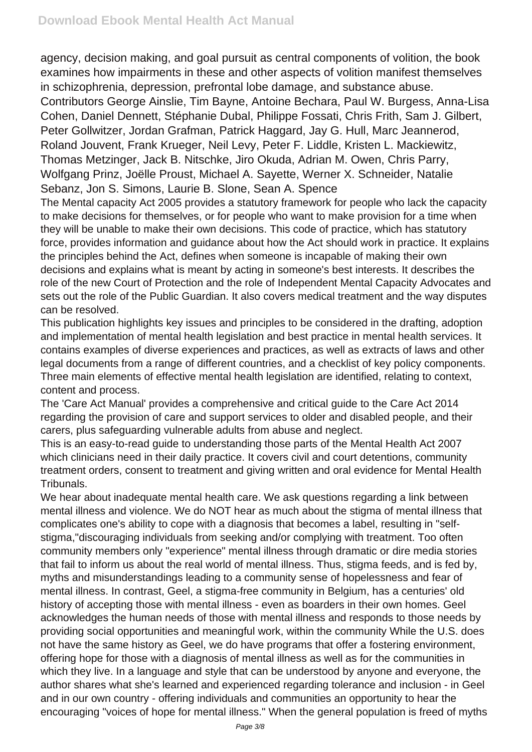agency, decision making, and goal pursuit as central components of volition, the book examines how impairments in these and other aspects of volition manifest themselves in schizophrenia, depression, prefrontal lobe damage, and substance abuse.

Contributors George Ainslie, Tim Bayne, Antoine Bechara, Paul W. Burgess, Anna-Lisa Cohen, Daniel Dennett, Stéphanie Dubal, Philippe Fossati, Chris Frith, Sam J. Gilbert, Peter Gollwitzer, Jordan Grafman, Patrick Haggard, Jay G. Hull, Marc Jeannerod, Roland Jouvent, Frank Krueger, Neil Levy, Peter F. Liddle, Kristen L. Mackiewitz, Thomas Metzinger, Jack B. Nitschke, Jiro Okuda, Adrian M. Owen, Chris Parry, Wolfgang Prinz, Joëlle Proust, Michael A. Sayette, Werner X. Schneider, Natalie Sebanz, Jon S. Simons, Laurie B. Slone, Sean A. Spence

The Mental capacity Act 2005 provides a statutory framework for people who lack the capacity to make decisions for themselves, or for people who want to make provision for a time when they will be unable to make their own decisions. This code of practice, which has statutory force, provides information and guidance about how the Act should work in practice. It explains the principles behind the Act, defines when someone is incapable of making their own decisions and explains what is meant by acting in someone's best interests. It describes the role of the new Court of Protection and the role of Independent Mental Capacity Advocates and sets out the role of the Public Guardian. It also covers medical treatment and the way disputes can be resolved.

This publication highlights key issues and principles to be considered in the drafting, adoption and implementation of mental health legislation and best practice in mental health services. It contains examples of diverse experiences and practices, as well as extracts of laws and other legal documents from a range of different countries, and a checklist of key policy components. Three main elements of effective mental health legislation are identified, relating to context, content and process.

The 'Care Act Manual' provides a comprehensive and critical guide to the Care Act 2014 regarding the provision of care and support services to older and disabled people, and their carers, plus safeguarding vulnerable adults from abuse and neglect.

This is an easy-to-read guide to understanding those parts of the Mental Health Act 2007 which clinicians need in their daily practice. It covers civil and court detentions, community treatment orders, consent to treatment and giving written and oral evidence for Mental Health Tribunals.

We hear about inadequate mental health care. We ask questions regarding a link between mental illness and violence. We do NOT hear as much about the stigma of mental illness that complicates one's ability to cope with a diagnosis that becomes a label, resulting in "selfstigma,"discouraging individuals from seeking and/or complying with treatment. Too often community members only "experience" mental illness through dramatic or dire media stories that fail to inform us about the real world of mental illness. Thus, stigma feeds, and is fed by, myths and misunderstandings leading to a community sense of hopelessness and fear of mental illness. In contrast, Geel, a stigma-free community in Belgium, has a centuries' old history of accepting those with mental illness - even as boarders in their own homes. Geel acknowledges the human needs of those with mental illness and responds to those needs by providing social opportunities and meaningful work, within the community While the U.S. does not have the same history as Geel, we do have programs that offer a fostering environment, offering hope for those with a diagnosis of mental illness as well as for the communities in which they live. In a language and style that can be understood by anyone and everyone, the author shares what she's learned and experienced regarding tolerance and inclusion - in Geel and in our own country - offering individuals and communities an opportunity to hear the encouraging "voices of hope for mental illness." When the general population is freed of myths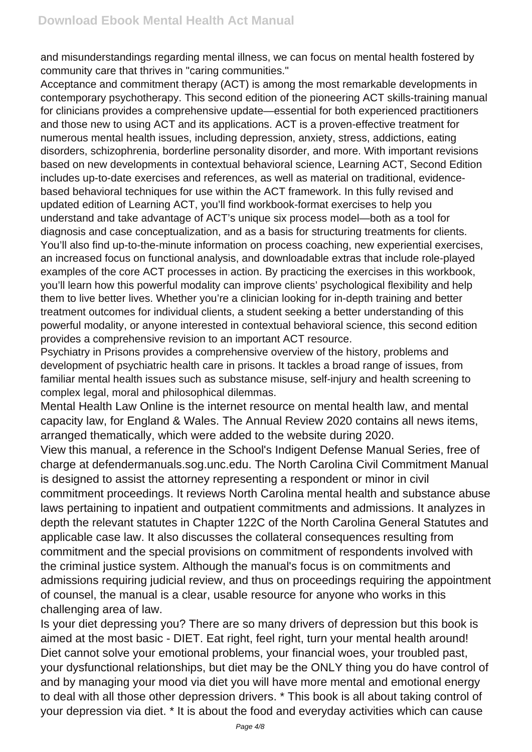and misunderstandings regarding mental illness, we can focus on mental health fostered by community care that thrives in "caring communities."

Acceptance and commitment therapy (ACT) is among the most remarkable developments in contemporary psychotherapy. This second edition of the pioneering ACT skills-training manual for clinicians provides a comprehensive update—essential for both experienced practitioners and those new to using ACT and its applications. ACT is a proven-effective treatment for numerous mental health issues, including depression, anxiety, stress, addictions, eating disorders, schizophrenia, borderline personality disorder, and more. With important revisions based on new developments in contextual behavioral science, Learning ACT, Second Edition includes up-to-date exercises and references, as well as material on traditional, evidencebased behavioral techniques for use within the ACT framework. In this fully revised and updated edition of Learning ACT, you'll find workbook-format exercises to help you understand and take advantage of ACT's unique six process model—both as a tool for diagnosis and case conceptualization, and as a basis for structuring treatments for clients. You'll also find up-to-the-minute information on process coaching, new experiential exercises, an increased focus on functional analysis, and downloadable extras that include role-played examples of the core ACT processes in action. By practicing the exercises in this workbook, you'll learn how this powerful modality can improve clients' psychological flexibility and help them to live better lives. Whether you're a clinician looking for in-depth training and better treatment outcomes for individual clients, a student seeking a better understanding of this powerful modality, or anyone interested in contextual behavioral science, this second edition provides a comprehensive revision to an important ACT resource.

Psychiatry in Prisons provides a comprehensive overview of the history, problems and development of psychiatric health care in prisons. It tackles a broad range of issues, from familiar mental health issues such as substance misuse, self-injury and health screening to complex legal, moral and philosophical dilemmas.

Mental Health Law Online is the internet resource on mental health law, and mental capacity law, for England & Wales. The Annual Review 2020 contains all news items, arranged thematically, which were added to the website during 2020.

View this manual, a reference in the School's Indigent Defense Manual Series, free of charge at defendermanuals.sog.unc.edu. The North Carolina Civil Commitment Manual is designed to assist the attorney representing a respondent or minor in civil commitment proceedings. It reviews North Carolina mental health and substance abuse laws pertaining to inpatient and outpatient commitments and admissions. It analyzes in depth the relevant statutes in Chapter 122C of the North Carolina General Statutes and applicable case law. It also discusses the collateral consequences resulting from commitment and the special provisions on commitment of respondents involved with the criminal justice system. Although the manual's focus is on commitments and admissions requiring judicial review, and thus on proceedings requiring the appointment of counsel, the manual is a clear, usable resource for anyone who works in this challenging area of law.

Is your diet depressing you? There are so many drivers of depression but this book is aimed at the most basic - DIET. Eat right, feel right, turn your mental health around! Diet cannot solve your emotional problems, your financial woes, your troubled past, your dysfunctional relationships, but diet may be the ONLY thing you do have control of and by managing your mood via diet you will have more mental and emotional energy to deal with all those other depression drivers. \* This book is all about taking control of your depression via diet. \* It is about the food and everyday activities which can cause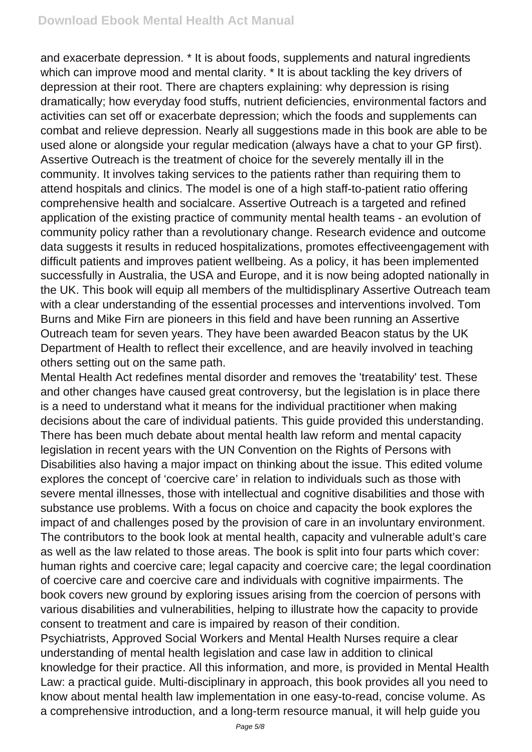and exacerbate depression. \* It is about foods, supplements and natural ingredients which can improve mood and mental clarity. \* It is about tackling the key drivers of depression at their root. There are chapters explaining: why depression is rising dramatically; how everyday food stuffs, nutrient deficiencies, environmental factors and activities can set off or exacerbate depression; which the foods and supplements can combat and relieve depression. Nearly all suggestions made in this book are able to be used alone or alongside your regular medication (always have a chat to your GP first). Assertive Outreach is the treatment of choice for the severely mentally ill in the community. It involves taking services to the patients rather than requiring them to attend hospitals and clinics. The model is one of a high staff-to-patient ratio offering comprehensive health and socialcare. Assertive Outreach is a targeted and refined application of the existing practice of community mental health teams - an evolution of community policy rather than a revolutionary change. Research evidence and outcome data suggests it results in reduced hospitalizations, promotes effectiveengagement with difficult patients and improves patient wellbeing. As a policy, it has been implemented successfully in Australia, the USA and Europe, and it is now being adopted nationally in the UK. This book will equip all members of the multidisplinary Assertive Outreach team with a clear understanding of the essential processes and interventions involved. Tom Burns and Mike Firn are pioneers in this field and have been running an Assertive Outreach team for seven years. They have been awarded Beacon status by the UK Department of Health to reflect their excellence, and are heavily involved in teaching others setting out on the same path.

Mental Health Act redefines mental disorder and removes the 'treatability' test. These and other changes have caused great controversy, but the legislation is in place there is a need to understand what it means for the individual practitioner when making decisions about the care of individual patients. This guide provided this understanding. There has been much debate about mental health law reform and mental capacity legislation in recent years with the UN Convention on the Rights of Persons with Disabilities also having a major impact on thinking about the issue. This edited volume explores the concept of 'coercive care' in relation to individuals such as those with severe mental illnesses, those with intellectual and cognitive disabilities and those with substance use problems. With a focus on choice and capacity the book explores the impact of and challenges posed by the provision of care in an involuntary environment. The contributors to the book look at mental health, capacity and vulnerable adult's care as well as the law related to those areas. The book is split into four parts which cover: human rights and coercive care; legal capacity and coercive care; the legal coordination of coercive care and coercive care and individuals with cognitive impairments. The book covers new ground by exploring issues arising from the coercion of persons with various disabilities and vulnerabilities, helping to illustrate how the capacity to provide consent to treatment and care is impaired by reason of their condition. Psychiatrists, Approved Social Workers and Mental Health Nurses require a clear understanding of mental health legislation and case law in addition to clinical knowledge for their practice. All this information, and more, is provided in Mental Health Law: a practical guide. Multi-disciplinary in approach, this book provides all you need to know about mental health law implementation in one easy-to-read, concise volume. As a comprehensive introduction, and a long-term resource manual, it will help guide you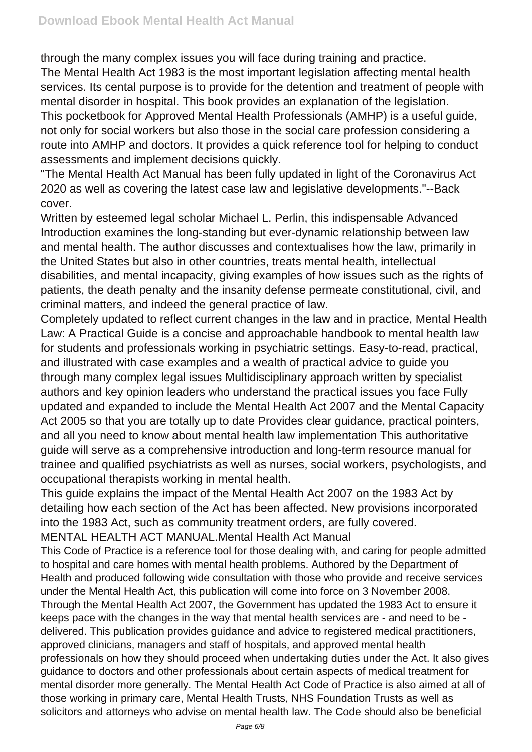through the many complex issues you will face during training and practice. The Mental Health Act 1983 is the most important legislation affecting mental health services. Its cental purpose is to provide for the detention and treatment of people with mental disorder in hospital. This book provides an explanation of the legislation. This pocketbook for Approved Mental Health Professionals (AMHP) is a useful guide, not only for social workers but also those in the social care profession considering a route into AMHP and doctors. It provides a quick reference tool for helping to conduct assessments and implement decisions quickly.

"The Mental Health Act Manual has been fully updated in light of the Coronavirus Act 2020 as well as covering the latest case law and legislative developments."--Back cover.

Written by esteemed legal scholar Michael L. Perlin, this indispensable Advanced Introduction examines the long-standing but ever-dynamic relationship between law and mental health. The author discusses and contextualises how the law, primarily in the United States but also in other countries, treats mental health, intellectual disabilities, and mental incapacity, giving examples of how issues such as the rights of patients, the death penalty and the insanity defense permeate constitutional, civil, and criminal matters, and indeed the general practice of law.

Completely updated to reflect current changes in the law and in practice, Mental Health Law: A Practical Guide is a concise and approachable handbook to mental health law for students and professionals working in psychiatric settings. Easy-to-read, practical, and illustrated with case examples and a wealth of practical advice to guide you through many complex legal issues Multidisciplinary approach written by specialist authors and key opinion leaders who understand the practical issues you face Fully updated and expanded to include the Mental Health Act 2007 and the Mental Capacity Act 2005 so that you are totally up to date Provides clear guidance, practical pointers, and all you need to know about mental health law implementation This authoritative guide will serve as a comprehensive introduction and long-term resource manual for trainee and qualified psychiatrists as well as nurses, social workers, psychologists, and occupational therapists working in mental health.

This guide explains the impact of the Mental Health Act 2007 on the 1983 Act by detailing how each section of the Act has been affected. New provisions incorporated into the 1983 Act, such as community treatment orders, are fully covered. MENTAL HEALTH ACT MANUAL.Mental Health Act Manual

This Code of Practice is a reference tool for those dealing with, and caring for people admitted to hospital and care homes with mental health problems. Authored by the Department of Health and produced following wide consultation with those who provide and receive services under the Mental Health Act, this publication will come into force on 3 November 2008. Through the Mental Health Act 2007, the Government has updated the 1983 Act to ensure it keeps pace with the changes in the way that mental health services are - and need to be delivered. This publication provides guidance and advice to registered medical practitioners, approved clinicians, managers and staff of hospitals, and approved mental health professionals on how they should proceed when undertaking duties under the Act. It also gives guidance to doctors and other professionals about certain aspects of medical treatment for mental disorder more generally. The Mental Health Act Code of Practice is also aimed at all of those working in primary care, Mental Health Trusts, NHS Foundation Trusts as well as solicitors and attorneys who advise on mental health law. The Code should also be beneficial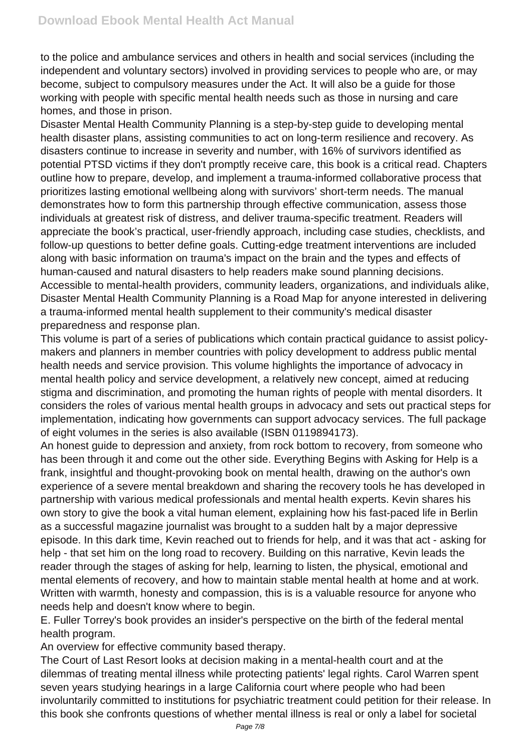to the police and ambulance services and others in health and social services (including the independent and voluntary sectors) involved in providing services to people who are, or may become, subject to compulsory measures under the Act. It will also be a guide for those working with people with specific mental health needs such as those in nursing and care homes, and those in prison.

Disaster Mental Health Community Planning is a step-by-step guide to developing mental health disaster plans, assisting communities to act on long-term resilience and recovery. As disasters continue to increase in severity and number, with 16% of survivors identified as potential PTSD victims if they don't promptly receive care, this book is a critical read. Chapters outline how to prepare, develop, and implement a trauma-informed collaborative process that prioritizes lasting emotional wellbeing along with survivors' short-term needs. The manual demonstrates how to form this partnership through effective communication, assess those individuals at greatest risk of distress, and deliver trauma-specific treatment. Readers will appreciate the book's practical, user-friendly approach, including case studies, checklists, and follow-up questions to better define goals. Cutting-edge treatment interventions are included along with basic information on trauma's impact on the brain and the types and effects of human-caused and natural disasters to help readers make sound planning decisions. Accessible to mental-health providers, community leaders, organizations, and individuals alike, Disaster Mental Health Community Planning is a Road Map for anyone interested in delivering a trauma-informed mental health supplement to their community's medical disaster preparedness and response plan.

This volume is part of a series of publications which contain practical guidance to assist policymakers and planners in member countries with policy development to address public mental health needs and service provision. This volume highlights the importance of advocacy in mental health policy and service development, a relatively new concept, aimed at reducing stigma and discrimination, and promoting the human rights of people with mental disorders. It considers the roles of various mental health groups in advocacy and sets out practical steps for implementation, indicating how governments can support advocacy services. The full package of eight volumes in the series is also available (ISBN 0119894173).

An honest guide to depression and anxiety, from rock bottom to recovery, from someone who has been through it and come out the other side. Everything Begins with Asking for Help is a frank, insightful and thought-provoking book on mental health, drawing on the author's own experience of a severe mental breakdown and sharing the recovery tools he has developed in partnership with various medical professionals and mental health experts. Kevin shares his own story to give the book a vital human element, explaining how his fast-paced life in Berlin as a successful magazine journalist was brought to a sudden halt by a major depressive episode. In this dark time, Kevin reached out to friends for help, and it was that act - asking for help - that set him on the long road to recovery. Building on this narrative, Kevin leads the reader through the stages of asking for help, learning to listen, the physical, emotional and mental elements of recovery, and how to maintain stable mental health at home and at work. Written with warmth, honesty and compassion, this is is a valuable resource for anyone who needs help and doesn't know where to begin.

E. Fuller Torrey's book provides an insider's perspective on the birth of the federal mental health program.

An overview for effective community based therapy.

The Court of Last Resort looks at decision making in a mental-health court and at the dilemmas of treating mental illness while protecting patients' legal rights. Carol Warren spent seven years studying hearings in a large California court where people who had been involuntarily committed to institutions for psychiatric treatment could petition for their release. In this book she confronts questions of whether mental illness is real or only a label for societal